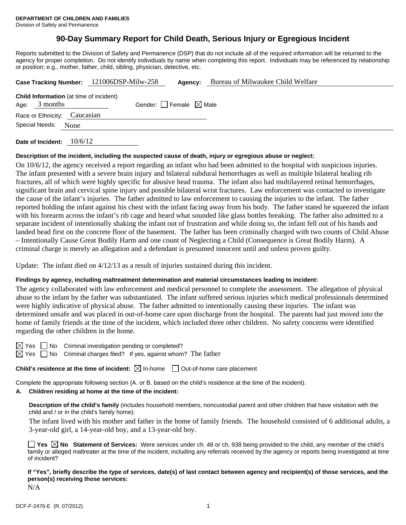# **90-Day Summary Report for Child Death, Serious Injury or Egregious Incident**

Reports submitted to the Division of Safety and Permanence (DSP) that do not include all of the required information will be returned to the agency for proper completion. Do not identify individuals by name when completing this report. Individuals may be referenced by relationship or position; e.g., mother, father, child, sibling, physician, detective, etc.

|                 |                                                | Case Tracking Number: 121006DSP-Milw-258 | Agency:                         | Bureau of Milwaukee Child Welfare |
|-----------------|------------------------------------------------|------------------------------------------|---------------------------------|-----------------------------------|
| Age: $3$ months | <b>Child Information</b> (at time of incident) |                                          | Gender: Female $\boxtimes$ Male |                                   |
|                 | Race or Ethnicity: Caucasian                   |                                          |                                 |                                   |
|                 | Special Needs: None                            |                                          |                                 |                                   |
|                 |                                                |                                          |                                 |                                   |

**Date of Incident:** 10/6/12

#### **Description of the incident, including the suspected cause of death, injury or egregious abuse or neglect:**

On 10/6/12, the agency received a report regarding an infant who had been admitted to the hospital with suspicious injuries. The infant presented with a severe brain injury and bilateral subdural hemorrhages as well as multiple bilateral healing rib fractures, all of which were highly specific for abusive head trauma. The infant also had multilayered retinal hemorrhages, significant brain and cervical spine injury and possible bilateral wrist fractures. Law enforcement was contacted to investigate the cause of the infant's injuries. The father admitted to law enforcement to causing the injuries to the infant. The father reported holding the infant against his chest with the infant facing away from his body. The father stated he squeezed the infant with his forearm across the infant's rib cage and heard what sounded like glass bottles breaking. The father also admitted to a separate incident of intentionally shaking the infant out of frustration and while doing so, the infant fell out of his hands and landed head first on the concrete floor of the basement. The father has been criminally charged with two counts of Child Abuse – Intentionally Cause Great Bodily Harm and one count of Neglecting a Child (Consequence is Great Bodily Harm). A criminal charge is merely an allegation and a defendant is presumed innocent until and unless proven guilty.

Update: The infant died on 4/12/13 as a result of injuries sustained during this incident.

#### **Findings by agency, including maltreatment determination and material circumstances leading to incident:**

The agency collaborated with law enforcement and medical personnel to complete the assessment. The allegation of physical abuse to the infant by the father was substantiated. The infant suffered serious injuries which medical professionals determined were highly indicative of physical abuse. The father admitted to intentionally causing these injuries. The infant was determined unsafe and was placed in out-of-home care upon discharge from the hospital. The parents had just moved into the home of family friends at the time of the incident, which included three other children. No safety concerns were identified regarding the other children in the home.

 $\boxtimes$  Yes  $\Box$  No Criminal investigation pending or completed?

 $\boxtimes$  Yes  $\Box$  No Criminal charges filed? If yes, against whom? The father

**Child's residence at the time of incident:**  $\boxtimes$  In-home  $\Box$  Out-of-home care placement

Complete the appropriate following section (A. or B. based on the child's residence at the time of the incident).

# **A. Children residing at home at the time of the incident:**

**Description of the child's family** (includes household members, noncustodial parent and other children that have visitation with the child and / or in the child's family home):

 The infant lived with his mother and father in the home of family friends. The household consisted of 6 additional adults, a 3-year-old girl, a 14-year-old boy, and a 13-year-old boy.

**Yes No Statement of Services:** Were services under ch. 48 or ch. 938 being provided to the child, any member of the child's family or alleged maltreater at the time of the incident, including any referrals received by the agency or reports being investigated at time of incident?

**If "Yes", briefly describe the type of services, date(s) of last contact between agency and recipient(s) of those services, and the person(s) receiving those services:** 

N/A